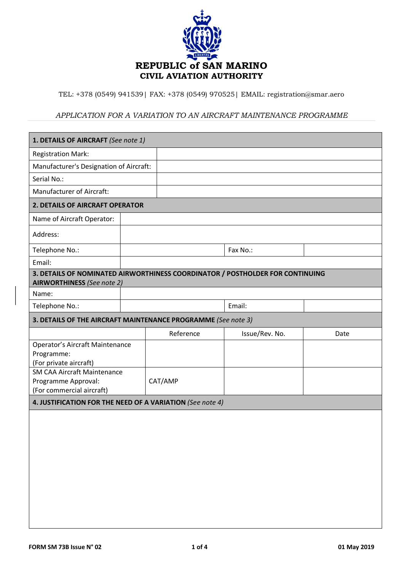

TEL: +378 (0549) 941539| FAX: +378 (0549) 970525| EMAIL: registration@smar.aero

## *APPLICATION FOR A VARIATION TO AN AIRCRAFT MAINTENANCE PROGRAMME*

| 1. DETAILS OF AIRCRAFT (See note 1)                                                                                |  |           |                |      |  |  |  |
|--------------------------------------------------------------------------------------------------------------------|--|-----------|----------------|------|--|--|--|
| <b>Registration Mark:</b>                                                                                          |  |           |                |      |  |  |  |
| Manufacturer's Designation of Aircraft:                                                                            |  |           |                |      |  |  |  |
| Serial No.:                                                                                                        |  |           |                |      |  |  |  |
| Manufacturer of Aircraft:                                                                                          |  |           |                |      |  |  |  |
| 2. DETAILS OF AIRCRAFT OPERATOR                                                                                    |  |           |                |      |  |  |  |
| Name of Aircraft Operator:                                                                                         |  |           |                |      |  |  |  |
| Address:                                                                                                           |  |           |                |      |  |  |  |
| Telephone No.:                                                                                                     |  |           | Fax No.:       |      |  |  |  |
| Email:                                                                                                             |  |           |                |      |  |  |  |
| 3. DETAILS OF NOMINATED AIRWORTHINESS COORDINATOR / POSTHOLDER FOR CONTINUING<br><b>AIRWORTHINESS</b> (See note 2) |  |           |                |      |  |  |  |
| Name:                                                                                                              |  |           |                |      |  |  |  |
| Telephone No.:                                                                                                     |  |           | Email:         |      |  |  |  |
| 3. DETAILS OF THE AIRCRAFT MAINTENANCE PROGRAMME (See note 3)                                                      |  |           |                |      |  |  |  |
|                                                                                                                    |  | Reference | Issue/Rev. No. | Date |  |  |  |
| <b>Operator's Aircraft Maintenance</b>                                                                             |  |           |                |      |  |  |  |
| Programme:<br>(For private aircraft)                                                                               |  |           |                |      |  |  |  |
| <b>SM CAA Aircraft Maintenance</b>                                                                                 |  |           |                |      |  |  |  |
| Programme Approval:                                                                                                |  | CAT/AMP   |                |      |  |  |  |
| (For commercial aircraft)                                                                                          |  |           |                |      |  |  |  |
| 4. JUSTIFICATION FOR THE NEED OF A VARIATION (See note 4)                                                          |  |           |                |      |  |  |  |
|                                                                                                                    |  |           |                |      |  |  |  |
|                                                                                                                    |  |           |                |      |  |  |  |
|                                                                                                                    |  |           |                |      |  |  |  |
|                                                                                                                    |  |           |                |      |  |  |  |
|                                                                                                                    |  |           |                |      |  |  |  |
|                                                                                                                    |  |           |                |      |  |  |  |
|                                                                                                                    |  |           |                |      |  |  |  |
|                                                                                                                    |  |           |                |      |  |  |  |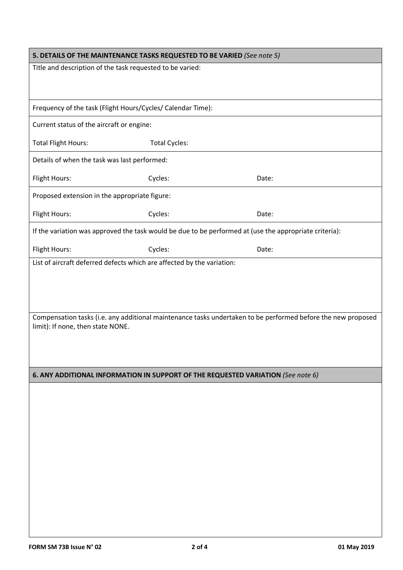| 5. DETAILS OF THE MAINTENANCE TASKS REQUESTED TO BE VARIED (See note 5)                                |                                                                                  |                                                                                                              |  |  |  |  |  |  |
|--------------------------------------------------------------------------------------------------------|----------------------------------------------------------------------------------|--------------------------------------------------------------------------------------------------------------|--|--|--|--|--|--|
| Title and description of the task requested to be varied:                                              |                                                                                  |                                                                                                              |  |  |  |  |  |  |
|                                                                                                        |                                                                                  |                                                                                                              |  |  |  |  |  |  |
| Frequency of the task (Flight Hours/Cycles/ Calendar Time):                                            |                                                                                  |                                                                                                              |  |  |  |  |  |  |
| Current status of the aircraft or engine:                                                              |                                                                                  |                                                                                                              |  |  |  |  |  |  |
| <b>Total Flight Hours:</b>                                                                             | <b>Total Cycles:</b>                                                             |                                                                                                              |  |  |  |  |  |  |
|                                                                                                        | Details of when the task was last performed:                                     |                                                                                                              |  |  |  |  |  |  |
| Flight Hours:                                                                                          | Cycles:                                                                          | Date:                                                                                                        |  |  |  |  |  |  |
| Proposed extension in the appropriate figure:                                                          |                                                                                  |                                                                                                              |  |  |  |  |  |  |
| Flight Hours:                                                                                          | Cycles:                                                                          | Date:                                                                                                        |  |  |  |  |  |  |
| If the variation was approved the task would be due to be performed at (use the appropriate criteria): |                                                                                  |                                                                                                              |  |  |  |  |  |  |
| Flight Hours:                                                                                          | Cycles:                                                                          | Date:                                                                                                        |  |  |  |  |  |  |
| List of aircraft deferred defects which are affected by the variation:                                 |                                                                                  |                                                                                                              |  |  |  |  |  |  |
|                                                                                                        |                                                                                  |                                                                                                              |  |  |  |  |  |  |
|                                                                                                        |                                                                                  |                                                                                                              |  |  |  |  |  |  |
| limit): If none, then state NONE.                                                                      |                                                                                  | Compensation tasks (i.e. any additional maintenance tasks undertaken to be performed before the new proposed |  |  |  |  |  |  |
|                                                                                                        |                                                                                  |                                                                                                              |  |  |  |  |  |  |
|                                                                                                        |                                                                                  |                                                                                                              |  |  |  |  |  |  |
|                                                                                                        | 6. ANY ADDITIONAL INFORMATION IN SUPPORT OF THE REQUESTED VARIATION (See note 6) |                                                                                                              |  |  |  |  |  |  |
|                                                                                                        |                                                                                  |                                                                                                              |  |  |  |  |  |  |
|                                                                                                        |                                                                                  |                                                                                                              |  |  |  |  |  |  |
|                                                                                                        |                                                                                  |                                                                                                              |  |  |  |  |  |  |
|                                                                                                        |                                                                                  |                                                                                                              |  |  |  |  |  |  |
|                                                                                                        |                                                                                  |                                                                                                              |  |  |  |  |  |  |
|                                                                                                        |                                                                                  |                                                                                                              |  |  |  |  |  |  |
|                                                                                                        |                                                                                  |                                                                                                              |  |  |  |  |  |  |
|                                                                                                        |                                                                                  |                                                                                                              |  |  |  |  |  |  |
|                                                                                                        |                                                                                  |                                                                                                              |  |  |  |  |  |  |
|                                                                                                        |                                                                                  |                                                                                                              |  |  |  |  |  |  |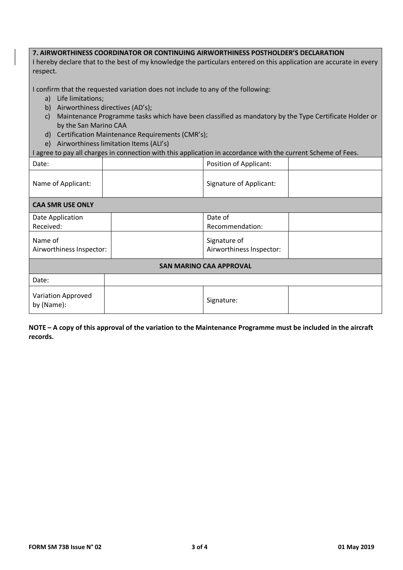## **7. AIRWORTHINESS COORDINATOR OR CONTINUING AIRWORTHINESS POSTHOLDER'S DECLARATION**

I hereby declare that to the best of my knowledge the particulars entered on this application are accurate in every respect.

I confirm that the requested variation does not include to any of the following:

- a) Life limitations;
- b) Airworthiness directives (AD's);
- c) Maintenance Programme tasks which have been classified as mandatory by the Type Certificate Holder or by the San Marino CAA
- d) Certification Maintenance Requirements (CMR's);
- e) Airworthiness limitation Items (ALI's)

I agree to pay all charges in connection with this application in accordance with the current Scheme of Fees.

| Date:                               |  | <b>Position of Applicant:</b>            |  |  |  |  |
|-------------------------------------|--|------------------------------------------|--|--|--|--|
| Name of Applicant:                  |  | Signature of Applicant:                  |  |  |  |  |
| <b>CAA SMR USE ONLY</b>             |  |                                          |  |  |  |  |
| Date Application                    |  | Date of                                  |  |  |  |  |
| Received:                           |  | Recommendation:                          |  |  |  |  |
| Name of<br>Airworthiness Inspector: |  | Signature of<br>Airworthiness Inspector: |  |  |  |  |
| <b>SAN MARINO CAA APPROVAL</b>      |  |                                          |  |  |  |  |
| Date:                               |  |                                          |  |  |  |  |
| Variation Approved<br>by (Name):    |  | Signature:                               |  |  |  |  |

**NOTE – A copy of this approval of the variation to the Maintenance Programme must be included in the aircraft records.**